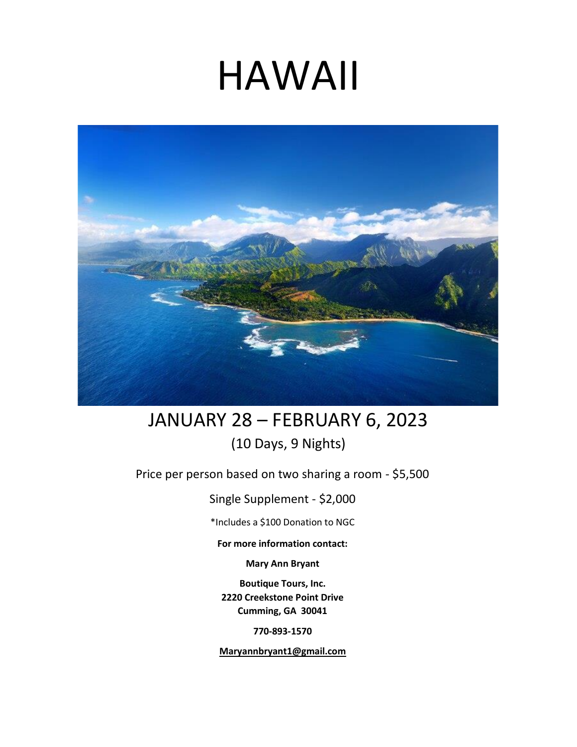# HAWAII



## JANUARY 28 – FEBRUARY 6, 2023 (10 Days, 9 Nights)

Price per person based on two sharing a room - \$5,500

Single Supplement - \$2,000

\*Includes a \$100 Donation to NGC

**For more information contact:** 

**Mary Ann Bryant** 

**Boutique Tours, Inc. 2220 Creekstone Point Drive Cumming, GA 30041**

**770-893-1570** 

**Maryannbryant1@gmail.com**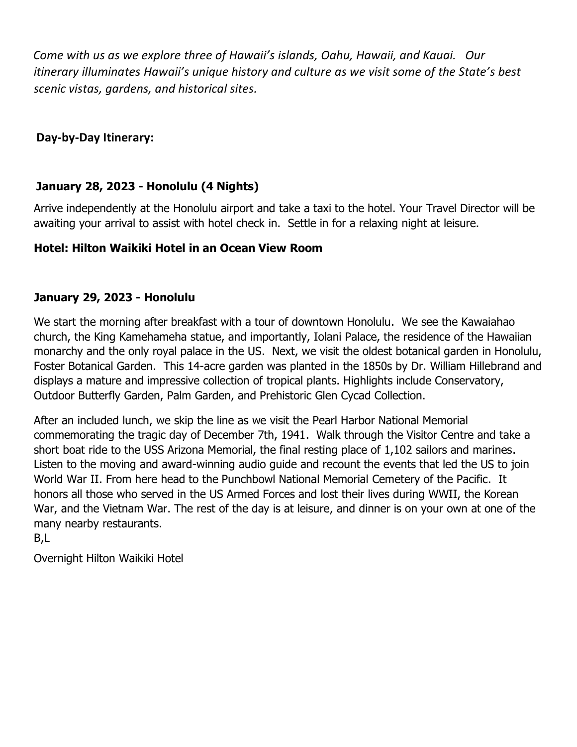*Come with us as we explore three of Hawaii's islands, Oahu, Hawaii, and Kauai. Our itinerary illuminates Hawaii's unique history and culture as we visit some of the State's best scenic vistas, gardens, and historical sites.*

**Day-by-Day Itinerary:** 

## **January 28, 2023 - Honolulu (4 Nights)**

Arrive independently at the Honolulu airport and take a taxi to the hotel. Your Travel Director will be awaiting your arrival to assist with hotel check in. Settle in for a relaxing night at leisure.

## **Hotel: Hilton Waikiki Hotel in an Ocean View Room**

### **January 29, 2023 - Honolulu**

We start the morning after breakfast with a tour of downtown Honolulu. We see the Kawaiahao church, the King Kamehameha statue, and importantly, Iolani Palace, the residence of the Hawaiian monarchy and the only royal palace in the US. Next, we visit the oldest botanical garden in Honolulu, Foster Botanical Garden. This 14-acre garden was planted in the 1850s by Dr. William Hillebrand and displays a mature and impressive collection of tropical plants. Highlights include Conservatory, Outdoor Butterfly Garden, Palm Garden, and Prehistoric Glen Cycad Collection.

After an included lunch, we skip the line as we visit the Pearl Harbor National Memorial commemorating the tragic day of December 7th, 1941. Walk through the Visitor Centre and take a short boat ride to the USS Arizona Memorial, the final resting place of 1,102 sailors and marines. Listen to the moving and award-winning audio guide and recount the events that led the US to join World War II. From here head to the Punchbowl National Memorial Cemetery of the Pacific. It honors all those who served in the US Armed Forces and lost their lives during WWII, the Korean War, and the Vietnam War. The rest of the day is at leisure, and dinner is on your own at one of the many nearby restaurants.

B,L

Overnight Hilton Waikiki Hotel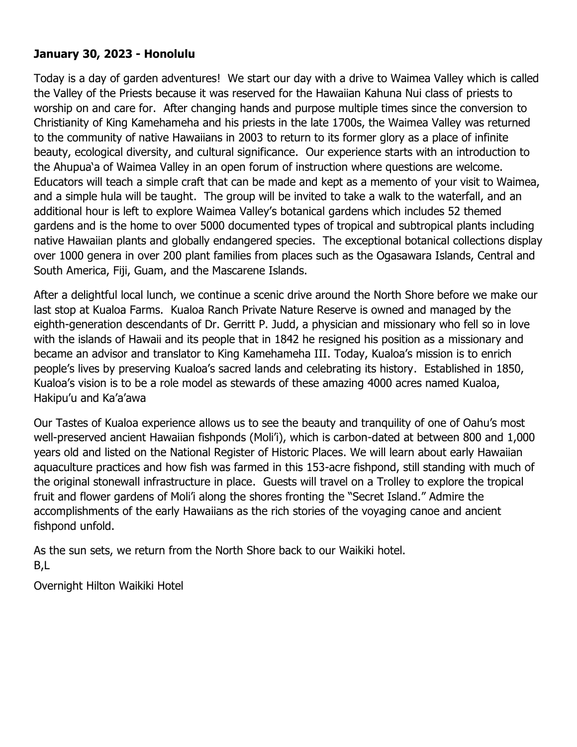#### **January 30, 2023 - Honolulu**

Today is a day of garden adventures! We start our day with a drive to Waimea Valley which is called the Valley of the Priests because it was reserved for the Hawaiian Kahuna Nui class of priests to worship on and care for. After changing hands and purpose multiple times since the conversion to Christianity of King Kamehameha and his priests in the late 1700s, the Waimea Valley was returned to the community of native Hawaiians in 2003 to return to its former glory as a place of infinite beauty, ecological diversity, and cultural significance. Our experience starts with an introduction to the Ahupua'a of Waimea Valley in an open forum of instruction where questions are welcome. Educators will teach a simple craft that can be made and kept as a memento of your visit to Waimea, and a simple hula will be taught. The group will be invited to take a walk to the waterfall, and an additional hour is left to explore Waimea Valley's botanical gardens which includes 52 themed gardens and is the home to over 5000 documented types of tropical and subtropical plants including native Hawaiian plants and globally endangered species. The exceptional botanical collections display over 1000 genera in over 200 plant families from places such as the Ogasawara Islands, Central and South America, Fiji, Guam, and the Mascarene Islands.

After a delightful local lunch, we continue a scenic drive around the North Shore before we make our last stop at Kualoa Farms. Kualoa Ranch Private Nature Reserve is owned and managed by the eighth-generation descendants of Dr. Gerritt P. Judd, a physician and missionary who fell so in love with the islands of Hawaii and its people that in 1842 he resigned his position as a missionary and became an advisor and translator to King Kamehameha III. Today, Kualoa's mission is to enrich people's lives by preserving Kualoa's sacred lands and celebrating its history. Established in 1850, Kualoa's vision is to be a role model as stewards of these amazing 4000 acres named Kualoa, Hakipu'u and Ka'a'awa

Our Tastes of Kualoa experience allows us to see the beauty and tranquility of one of Oahu's most well-preserved ancient Hawaiian fishponds (Moli'i), which is carbon-dated at between 800 and 1,000 years old and listed on the National Register of Historic Places. We will learn about early Hawaiian aquaculture practices and how fish was farmed in this 153-acre fishpond, still standing with much of the original stonewall infrastructure in place. Guests will travel on a Trolley to explore the tropical fruit and flower gardens of Moli'i along the shores fronting the "Secret Island." Admire the accomplishments of the early Hawaiians as the rich stories of the voyaging canoe and ancient fishpond unfold.

As the sun sets, we return from the North Shore back to our Waikiki hotel. B,L

Overnight Hilton Waikiki Hotel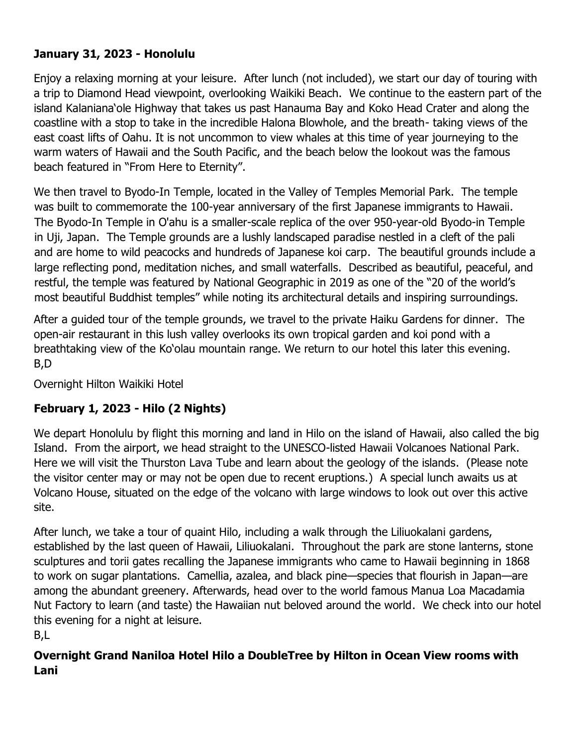## **January 31, 2023 - Honolulu**

Enjoy a relaxing morning at your leisure. After lunch (not included), we start our day of touring with a trip to Diamond Head viewpoint, overlooking Waikiki Beach. We continue to the eastern part of the island Kalaniana'ole Highway that takes us past Hanauma Bay and Koko Head Crater and along the coastline with a stop to take in the incredible Halona Blowhole, and the breath- taking views of the east coast lifts of Oahu. It is not uncommon to view whales at this time of year journeying to the warm waters of Hawaii and the South Pacific, and the beach below the lookout was the famous beach featured in "From Here to Eternity".

We then travel to Byodo-In Temple, located in the Valley of Temples Memorial Park. The temple was built to commemorate the 100-year anniversary of the first Japanese immigrants to Hawaii. The Byodo-In Temple in O'ahu is a smaller-scale replica of the over 950-year-old Byodo-in Temple in Uji, Japan. The Temple grounds are a lushly landscaped paradise nestled in a cleft of the pali and are home to wild peacocks and hundreds of Japanese koi carp. The beautiful grounds include a large reflecting pond, meditation niches, and small waterfalls. Described as beautiful, peaceful, and restful, the temple was featured by National Geographic in 2019 as one of the "20 of the world's most beautiful Buddhist temples" while noting its architectural details and inspiring surroundings.

After a guided tour of the temple grounds, we travel to the private Haiku Gardens for dinner. The open-air restaurant in this lush valley overlooks its own tropical garden and koi pond with a breathtaking view of the Ko'olau mountain range. We return to our hotel this later this evening. B,D

Overnight Hilton Waikiki Hotel

## **February 1, 2023 - Hilo (2 Nights)**

We depart Honolulu by flight this morning and land in Hilo on the island of Hawaii, also called the big Island. From the airport, we head straight to the UNESCO-listed Hawaii Volcanoes National Park. Here we will visit the Thurston Lava Tube and learn about the geology of the islands. (Please note the visitor center may or may not be open due to recent eruptions.) A special lunch awaits us at Volcano House, situated on the edge of the volcano with large windows to look out over this active site.

After lunch, we take a tour of quaint Hilo, including a walk through the Liliuokalani gardens, established by the last queen of Hawaii, Liliuokalani. Throughout the park are stone lanterns, stone sculptures and torii gates recalling the Japanese immigrants who came to Hawaii beginning in 1868 to work on sugar plantations. Camellia, azalea, and black pine—species that flourish in Japan—are among the abundant greenery. Afterwards, head over to the world famous Manua Loa Macadamia Nut Factory to learn (and taste) the Hawaiian nut beloved around the world. We check into our hotel this evening for a night at leisure.

B,L

## **Overnight Grand Naniloa Hotel Hilo a DoubleTree by Hilton in Ocean View rooms with Lani**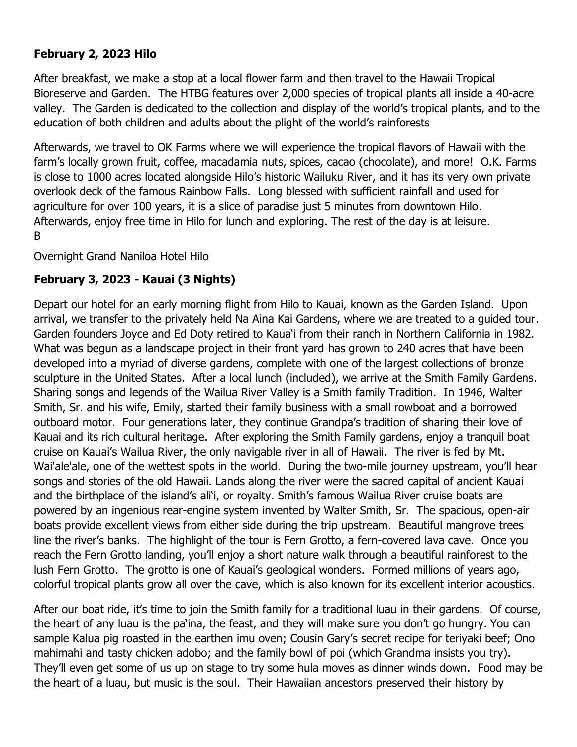#### **February 2, 2023 Hilo**

After breakfast, we make a stop at a local flower farm and then travel to the Hawaii Tropical Bioreserve and Garden. The HTBG features over 2,000 species of tropical plants all inside a 40-acre valley. The Garden is dedicated to the collection and display of the world's tropical plants, and to the education of both children and adults about the plight of the world's rainforests

Afterwards, we travel to OK Farms where we will experience the tropical flavors of Hawaii with the farm's locally grown fruit, coffee, macadamia nuts, spices, cacao (chocolate), and more! O.K. Farms is close to 1000 acres located alongside Hilo's historic Wailuku River, and it has its very own private overlook deck of the famous Rainbow Falls. Long blessed with sufficient rainfall and used for agriculture for over 100 years, it is a slice of paradise just 5 minutes from downtown Hilo. Afterwards, enjoy free time in Hilo for lunch and exploring. The rest of the day is at leisure. B

Overnight Grand Naniloa Hotel Hilo

### **February 3, 2023 - Kauai (3 Nights)**

Depart our hotel for an early morning flight from Hilo to Kauai, known as the Garden Island. Upon arrival, we transfer to the privately held Na Aina Kai Gardens, where we are treated to a guided tour. Garden founders Joyce and Ed Doty retired to Kaua'i from their ranch in Northern California in 1982. What was begun as a landscape project in their front yard has grown to 240 acres that have been developed into a myriad of diverse gardens, complete with one of the largest collections of bronze sculpture in the United States. After a local lunch (included), we arrive at the Smith Family Gardens. Sharing songs and legends of the Wailua River Valley is a Smith family Tradition. In 1946, Walter Smith, Sr. and his wife, Emily, started their family business with a small rowboat and a borrowed outboard motor. Four generations later, they continue Grandpa's tradition of sharing their love of Kauai and its rich cultural heritage. After exploring the Smith Family gardens, enjoy a tranquil boat cruise on Kauai's Wailua River, the only navigable river in all of Hawaii. The river is fed by Mt. Wai'ale'ale, one of the wettest spots in the world. During the two-mile journey upstream, you'll hear songs and stories of the old Hawaii. Lands along the river were the sacred capital of ancient Kauai and the birthplace of the island's ali'i, or royalty. Smith's famous Wailua River cruise boats are powered by an ingenious rear-engine system invented by Walter Smith, Sr. The spacious, open-air boats provide excellent views from either side during the trip upstream. Beautiful mangrove trees line the river's banks. The highlight of the tour is Fern Grotto, a fern-covered lava cave. Once you reach the Fern Grotto landing, you'll enjoy a short nature walk through a beautiful rainforest to the lush Fern Grotto. The grotto is one of Kauai's geological wonders. Formed millions of years ago, colorful tropical plants grow all over the cave, which is also known for its excellent interior acoustics.

After our boat ride, it's time to join the Smith family for a traditional luau in their gardens. Of course, the heart of any luau is the pa'ina, the feast, and they will make sure you don't go hungry. You can sample Kalua pig roasted in the earthen imu oven; Cousin Gary's secret recipe for teriyaki beef; Ono mahimahi and tasty chicken adobo; and the family bowl of poi (which Grandma insists you try). They'll even get some of us up on stage to try some hula moves as dinner winds down. Food may be the heart of a luau, but music is the soul. Their Hawaiian ancestors preserved their history by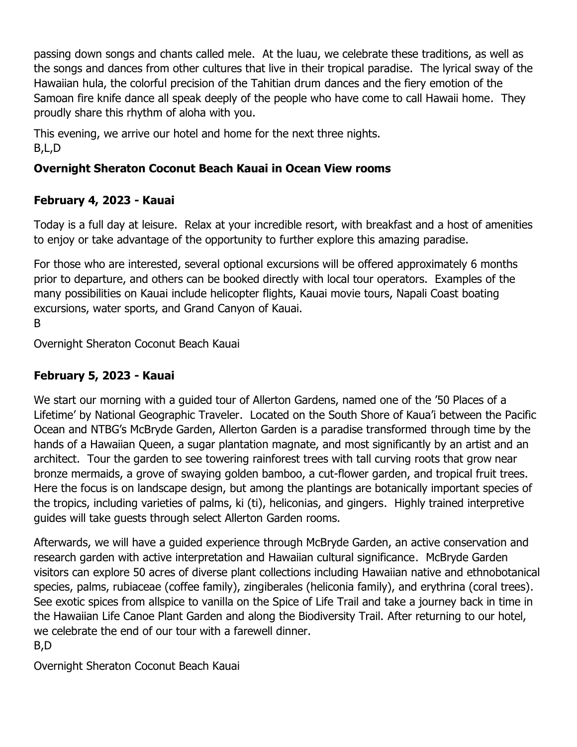passing down songs and chants called mele. At the luau, we celebrate these traditions, as well as the songs and dances from other cultures that live in their tropical paradise. The lyrical sway of the Hawaiian hula, the colorful precision of the Tahitian drum dances and the fiery emotion of the Samoan fire knife dance all speak deeply of the people who have come to call Hawaii home. They proudly share this rhythm of aloha with you.

This evening, we arrive our hotel and home for the next three nights. B,L,D

## **Overnight Sheraton Coconut Beach Kauai in Ocean View rooms**

## **February 4, 2023 - Kauai**

Today is a full day at leisure. Relax at your incredible resort, with breakfast and a host of amenities to enjoy or take advantage of the opportunity to further explore this amazing paradise.

For those who are interested, several optional excursions will be offered approximately 6 months prior to departure, and others can be booked directly with local tour operators. Examples of the many possibilities on Kauai include helicopter flights, Kauai movie tours, Napali Coast boating excursions, water sports, and Grand Canyon of Kauai.

B

Overnight Sheraton Coconut Beach Kauai

## **February 5, 2023 - Kauai**

We start our morning with a guided tour of Allerton Gardens, named one of the '50 Places of a Lifetime' by National Geographic Traveler. Located on the South Shore of Kaua'i between the Pacific Ocean and NTBG's McBryde Garden, Allerton Garden is a paradise transformed through time by the hands of a Hawaiian Queen, a sugar plantation magnate, and most significantly by an artist and an architect. Tour the garden to see towering rainforest trees with tall curving roots that grow near bronze mermaids, a grove of swaying golden bamboo, a cut-flower garden, and tropical fruit trees. Here the focus is on landscape design, but among the plantings are botanically important species of the tropics, including varieties of palms, ki (ti), heliconias, and gingers. Highly trained interpretive guides will take guests through select Allerton Garden rooms.

Afterwards, we will have a guided experience through McBryde Garden, an active conservation and research garden with active interpretation and Hawaiian cultural significance. McBryde Garden visitors can explore 50 acres of diverse plant collections including Hawaiian native and ethnobotanical species, palms, rubiaceae (coffee family), zingiberales (heliconia family), and erythrina (coral trees). See exotic spices from allspice to vanilla on the Spice of Life Trail and take a journey back in time in the Hawaiian Life Canoe Plant Garden and along the Biodiversity Trail. After returning to our hotel, we celebrate the end of our tour with a farewell dinner.

B,D

Overnight Sheraton Coconut Beach Kauai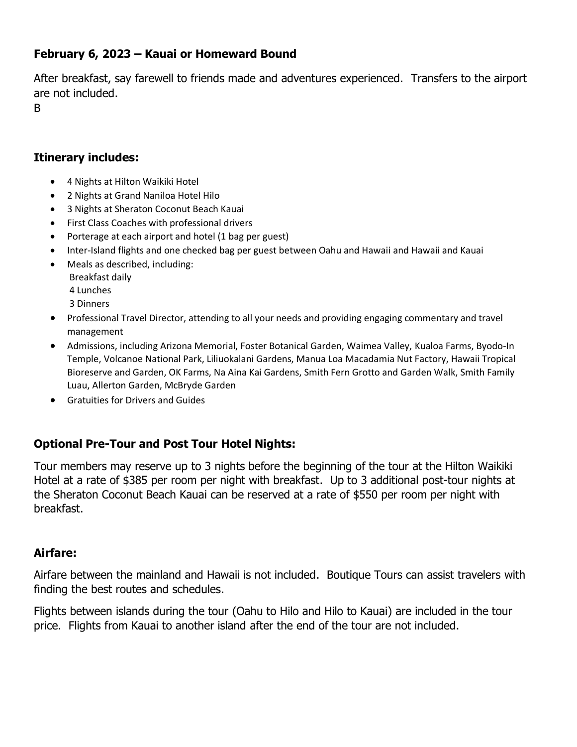#### **February 6, 2023 – Kauai or Homeward Bound**

After breakfast, say farewell to friends made and adventures experienced. Transfers to the airport are not included.

B

#### **Itinerary includes:**

- 4 Nights at Hilton Waikiki Hotel
- 2 Nights at Grand Naniloa Hotel Hilo
- 3 Nights at Sheraton Coconut Beach Kauai
- First Class Coaches with professional drivers
- Porterage at each airport and hotel (1 bag per guest)
- Inter-Island flights and one checked bag per guest between Oahu and Hawaii and Hawaii and Kauai
- Meals as described, including:
	- Breakfast daily
	- 4 Lunches
	- 3 Dinners
- Professional Travel Director, attending to all your needs and providing engaging commentary and travel management
- Admissions, including Arizona Memorial, Foster Botanical Garden, Waimea Valley, Kualoa Farms, Byodo-In Temple, Volcanoe National Park, Liliuokalani Gardens, Manua Loa Macadamia Nut Factory, Hawaii Tropical Bioreserve and Garden, OK Farms, Na Aina Kai Gardens, Smith Fern Grotto and Garden Walk, Smith Family Luau, Allerton Garden, McBryde Garden
- Gratuities for Drivers and Guides

## **Optional Pre-Tour and Post Tour Hotel Nights:**

Tour members may reserve up to 3 nights before the beginning of the tour at the Hilton Waikiki Hotel at a rate of \$385 per room per night with breakfast. Up to 3 additional post-tour nights at the Sheraton Coconut Beach Kauai can be reserved at a rate of \$550 per room per night with breakfast.

#### **Airfare:**

Airfare between the mainland and Hawaii is not included. Boutique Tours can assist travelers with finding the best routes and schedules.

Flights between islands during the tour (Oahu to Hilo and Hilo to Kauai) are included in the tour price. Flights from Kauai to another island after the end of the tour are not included.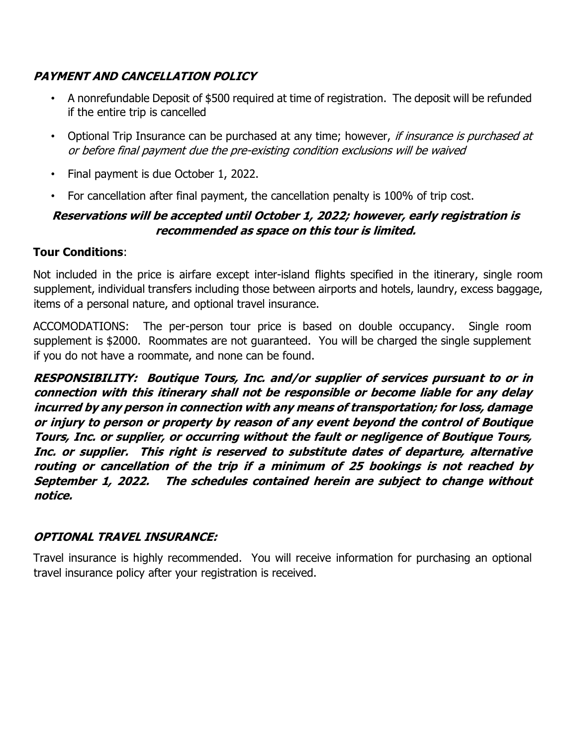### **PAYMENT AND CANCELLATION POLICY**

- A nonrefundable Deposit of \$500 required at time of registration. The deposit will be refunded if the entire trip is cancelled
- Optional Trip Insurance can be purchased at any time; however, if insurance is purchased at or before final payment due the pre-existing condition exclusions will be waived
- Final payment is due October 1, 2022.
- For cancellation after final payment, the cancellation penalty is 100% of trip cost.

#### **Reservations will be accepted until October 1, 2022; however, early registration is recommended as space on this tour is limited.**

#### **Tour Conditions**:

Not included in the price is airfare except inter-island flights specified in the itinerary, single room supplement, individual transfers including those between airports and hotels, laundry, excess baggage, items of a personal nature, and optional travel insurance.

ACCOMODATIONS: The per-person tour price is based on double occupancy. Single room supplement is \$2000. Roommates are not guaranteed. You will be charged the single supplement if you do not have a roommate, and none can be found.

**RESPONSIBILITY: Boutique Tours, Inc. and/or supplier of services pursuant to or in connection with this itinerary shall not be responsible or become liable for any delay incurred by any person in connection with any means of transportation; for loss, damage or injury to person or property by reason of any event beyond the control of Boutique Tours, Inc. or supplier, or occurring without the fault or negligence of Boutique Tours, Inc. or supplier. This right is reserved to substitute dates of departure, alternative routing or cancellation of the trip if a minimum of 25 bookings is not reached by September 1, 2022. The schedules contained herein are subject to change without notice.** 

#### **OPTIONAL TRAVEL INSURANCE:**

Travel insurance is highly recommended. You will receive information for purchasing an optional travel insurance policy after your registration is received.